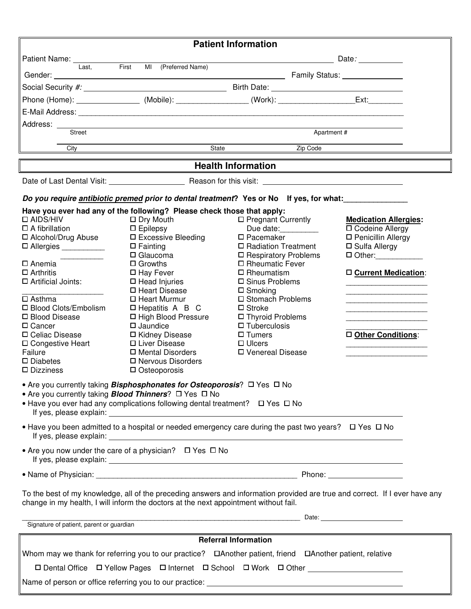|                                                                                                                                                                                                                     |                                                                                                                                                                                                                                                                     | <b>Patient Information</b>            |                                                  |
|---------------------------------------------------------------------------------------------------------------------------------------------------------------------------------------------------------------------|---------------------------------------------------------------------------------------------------------------------------------------------------------------------------------------------------------------------------------------------------------------------|---------------------------------------|--------------------------------------------------|
|                                                                                                                                                                                                                     | <b>Example 2018 Date: Date:</b>                                                                                                                                                                                                                                     |                                       |                                                  |
| Last.<br>Gender:                                                                                                                                                                                                    | First<br>MI (Preferred Name)<br><b>Manufacture 1996</b> Contract Contract Contract Contract Contract Contract Contract Contract Contract Contract Contract Contract Contract Contract Contract Contract Contract Contract Contract Contract Contract Contract Contr |                                       |                                                  |
|                                                                                                                                                                                                                     |                                                                                                                                                                                                                                                                     |                                       |                                                  |
|                                                                                                                                                                                                                     |                                                                                                                                                                                                                                                                     |                                       | $Ext:\_$                                         |
|                                                                                                                                                                                                                     |                                                                                                                                                                                                                                                                     |                                       |                                                  |
| Address:                                                                                                                                                                                                            |                                                                                                                                                                                                                                                                     |                                       |                                                  |
| Street                                                                                                                                                                                                              |                                                                                                                                                                                                                                                                     | Apartment#                            |                                                  |
| City                                                                                                                                                                                                                | State                                                                                                                                                                                                                                                               | Zip Code                              |                                                  |
|                                                                                                                                                                                                                     |                                                                                                                                                                                                                                                                     | <b>Health Information</b>             |                                                  |
|                                                                                                                                                                                                                     |                                                                                                                                                                                                                                                                     |                                       |                                                  |
|                                                                                                                                                                                                                     | Do you require <i>antibiotic premed prior to dental treatment</i> ? Yes or No lf yes, for what:                                                                                                                                                                     |                                       |                                                  |
|                                                                                                                                                                                                                     | Have you ever had any of the following? Please check those that apply:                                                                                                                                                                                              |                                       |                                                  |
| □ AIDS/HIV                                                                                                                                                                                                          | $\Box$ Dry Mouth                                                                                                                                                                                                                                                    | $\Box$ Pregnant Currently             | <b>Medication Allergies:</b>                     |
| $\Box$ A fibrillation<br>□ Alcohol/Drug Abuse                                                                                                                                                                       | $\square$ Epilepsy<br>□ Excessive Bleeding                                                                                                                                                                                                                          | Due date:<br>$\square$ Pacemaker      | <b>D</b> Codeine Allergy<br>□ Penicillin Allergy |
| □ Allergies ___________                                                                                                                                                                                             | $\Box$ Fainting                                                                                                                                                                                                                                                     | □ Radiation Treatment                 | $\square$ Sulfa Allergy                          |
|                                                                                                                                                                                                                     | $\Box$ Glaucoma                                                                                                                                                                                                                                                     | □ Respiratory Problems                | $\Box$ Other:                                    |
| □ Anemia                                                                                                                                                                                                            | $\Box$ Growths                                                                                                                                                                                                                                                      | □ Rheumatic Fever                     |                                                  |
| $\Box$ Arthritis                                                                                                                                                                                                    | $\Box$ Hay Fever                                                                                                                                                                                                                                                    | $\Box$ Rheumatism                     | □ Current Medication:                            |
| □ Artificial Joints:                                                                                                                                                                                                | $\Box$ Head Injuries<br>□ Heart Disease                                                                                                                                                                                                                             | □ Sinus Problems<br>$\square$ Smoking |                                                  |
| $\Box$ Asthma                                                                                                                                                                                                       | $\Box$ Heart Murmur                                                                                                                                                                                                                                                 | □ Stomach Problems                    |                                                  |
| □ Blood Clots/Embolism                                                                                                                                                                                              | $\Box$ Hepatitis A B C                                                                                                                                                                                                                                              | $\square$ Stroke                      |                                                  |
| □ Blood Disease                                                                                                                                                                                                     | □ High Blood Pressure                                                                                                                                                                                                                                               | □ Thyroid Problems                    |                                                  |
| □ Cancer                                                                                                                                                                                                            | $\Box$ Jaundice                                                                                                                                                                                                                                                     | $\Box$ Tuberculosis                   |                                                  |
| □ Celiac Disease                                                                                                                                                                                                    | □ Kidney Disease<br>□ Liver Disease                                                                                                                                                                                                                                 | $\Box$ Tumers                         | □ Other Conditions:                              |
| □ Congestive Heart<br>Failure                                                                                                                                                                                       | □ Mental Disorders                                                                                                                                                                                                                                                  | $\Box$ Ulcers<br>□ Venereal Disease   |                                                  |
| $\square$ Diabetes                                                                                                                                                                                                  | □ Nervous Disorders                                                                                                                                                                                                                                                 |                                       |                                                  |
| $\square$ Dizziness                                                                                                                                                                                                 | $\Box$ Osteoporosis                                                                                                                                                                                                                                                 |                                       |                                                  |
|                                                                                                                                                                                                                     | • Are you currently taking <i>Bisphosphonates for Osteoporosis</i> ? □ Yes □ No                                                                                                                                                                                     |                                       |                                                  |
| • Are you currently taking <b>Blood Thinners</b> ? □ Yes □ No                                                                                                                                                       |                                                                                                                                                                                                                                                                     |                                       |                                                  |
| If yes, please explain:                                                                                                                                                                                             | • Have you ever had any complications following dental treatment? $\Box$ Yes $\Box$ No<br><u> 1989 - Johann Stoff, deutscher Stoffen und der Stoffen und der Stoffen und der Stoffen und der Stoffen und der</u>                                                    |                                       |                                                  |
|                                                                                                                                                                                                                     | • Have you been admitted to a hospital or needed emergency care during the past two years? $\Box$ Yes $\Box$ No                                                                                                                                                     |                                       |                                                  |
|                                                                                                                                                                                                                     |                                                                                                                                                                                                                                                                     |                                       |                                                  |
|                                                                                                                                                                                                                     | • Are you now under the care of a physician? $\Box$ Yes $\Box$ No                                                                                                                                                                                                   |                                       |                                                  |
|                                                                                                                                                                                                                     |                                                                                                                                                                                                                                                                     |                                       |                                                  |
|                                                                                                                                                                                                                     |                                                                                                                                                                                                                                                                     |                                       |                                                  |
| To the best of my knowledge, all of the preceding answers and information provided are true and correct. If I ever have any<br>change in my health, I will inform the doctors at the next appointment without fail. |                                                                                                                                                                                                                                                                     |                                       |                                                  |
|                                                                                                                                                                                                                     | Signature of patient, parent or guardian expression of the state of patients of patient and particle in the state of patient, parent or guardian                                                                                                                    |                                       |                                                  |
| <b>Referral Information</b>                                                                                                                                                                                         |                                                                                                                                                                                                                                                                     |                                       |                                                  |
|                                                                                                                                                                                                                     |                                                                                                                                                                                                                                                                     |                                       |                                                  |
| Whom may we thank for referring you to our practice? DAnother patient, friend DAnother patient, relative                                                                                                            |                                                                                                                                                                                                                                                                     |                                       |                                                  |
| ロ Dental Office ロ Yellow Pages ロ Internet ロ School ロ Work ロ Other                                                                                                                                                   |                                                                                                                                                                                                                                                                     |                                       |                                                  |
|                                                                                                                                                                                                                     |                                                                                                                                                                                                                                                                     |                                       |                                                  |